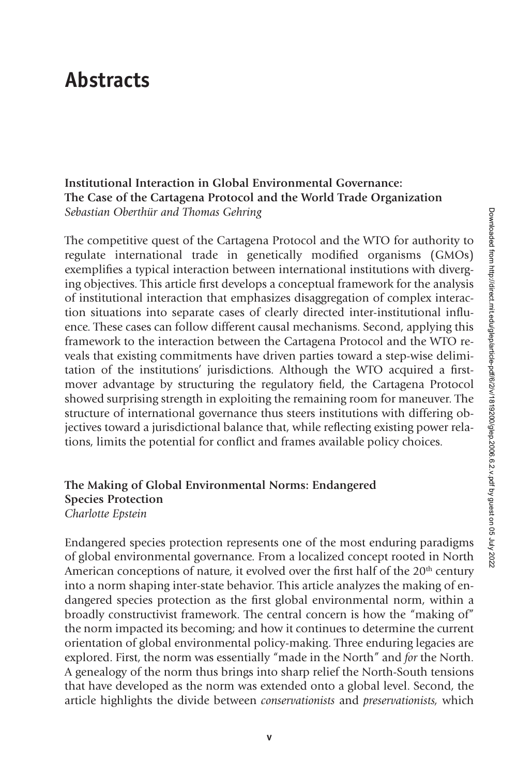# **Abstracts**

#### **Institutional Interaction in Global Environmental Governance: The Case of the Cartagena Protocol and the World Trade Organization** *Sebastian Oberthür and Thomas Gehring*

The competitive quest of the Cartagena Protocol and the WTO for authority to regulate international trade in genetically modified organisms (GMOs) exemplifies a typical interaction between international institutions with diverging objectives. This article first develops a conceptual framework for the analysis of institutional interaction that emphasizes disaggregation of complex interaction situations into separate cases of clearly directed inter-institutional influence. These cases can follow different causal mechanisms. Second, applying this framework to the interaction between the Cartagena Protocol and the WTO reveals that existing commitments have driven parties toward a step-wise delimitation of the institutions' jurisdictions. Although the WTO acquired a firstmover advantage by structuring the regulatory field, the Cartagena Protocol showed surprising strength in exploiting the remaining room for maneuver. The structure of international governance thus steers institutions with differing objectives toward a jurisdictional balance that, while reflecting existing power relations, limits the potential for conflict and frames available policy choices.

#### **The Making of Global Environmental Norms: Endangered Species Protection** *Charlotte Epstein*

Endangered species protection represents one of the most enduring paradigms of global environmental governance. From a localized concept rooted in North American conceptions of nature, it evolved over the first half of the  $20<sup>th</sup>$  century into a norm shaping inter-state behavior. This article analyzes the making of endangered species protection as the first global environmental norm, within a broadly constructivist framework. The central concern is how the "making of" the norm impacted its becoming; and how it continues to determine the current orientation of global environmental policy-making. Three enduring legacies are explored. First, the norm was essentially "made in the North" and *for* the North. A genealogy of the norm thus brings into sharp relief the North-South tensions that have developed as the norm was extended onto a global level. Second, the article highlights the divide between *conservationists* and *preservationists,* which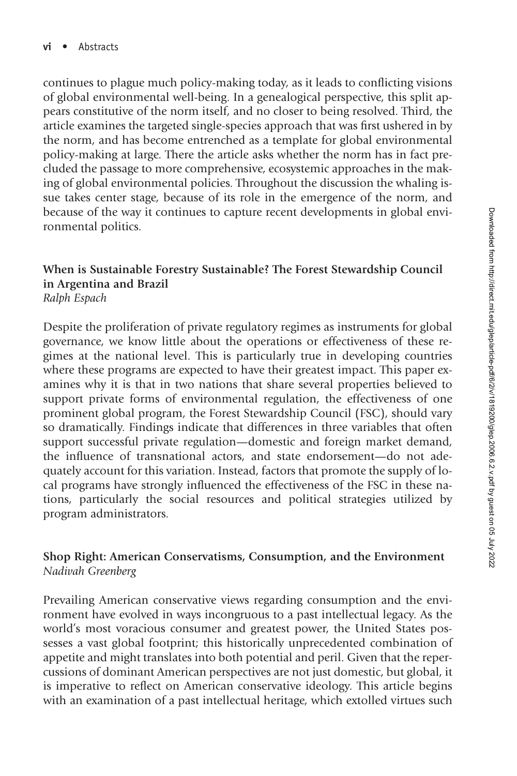continues to plague much policy-making today, as it leads to conflicting visions of global environmental well-being. In a genealogical perspective, this split appears constitutive of the norm itself, and no closer to being resolved. Third, the article examines the targeted single-species approach that was first ushered in by the norm, and has become entrenched as a template for global environmental policy-making at large. There the article asks whether the norm has in fact precluded the passage to more comprehensive, ecosystemic approaches in the making of global environmental policies. Throughout the discussion the whaling issue takes center stage, because of its role in the emergence of the norm, and because of the way it continues to capture recent developments in global environmental politics.

## **When is Sustainable Forestry Sustainable? The Forest Stewardship Council in Argentina and Brazil**

*Ralph Espach*

Despite the proliferation of private regulatory regimes as instruments for global governance, we know little about the operations or effectiveness of these regimes at the national level. This is particularly true in developing countries where these programs are expected to have their greatest impact. This paper examines why it is that in two nations that share several properties believed to support private forms of environmental regulation, the effectiveness of one prominent global program, the Forest Stewardship Council (FSC), should vary so dramatically. Findings indicate that differences in three variables that often support successful private regulation—domestic and foreign market demand, the influence of transnational actors, and state endorsement—do not adequately account for this variation. Instead, factors that promote the supply of local programs have strongly influenced the effectiveness of the FSC in these nations, particularly the social resources and political strategies utilized by program administrators.

### **Shop Right: American Conservatisms, Consumption, and the Environment** *Nadivah Greenberg*

Prevailing American conservative views regarding consumption and the environment have evolved in ways incongruous to a past intellectual legacy. As the world's most voracious consumer and greatest power, the United States possesses a vast global footprint; this historically unprecedented combination of appetite and might translates into both potential and peril. Given that the repercussions of dominant American perspectives are not just domestic, but global, it is imperative to reflect on American conservative ideology. This article begins with an examination of a past intellectual heritage, which extolled virtues such